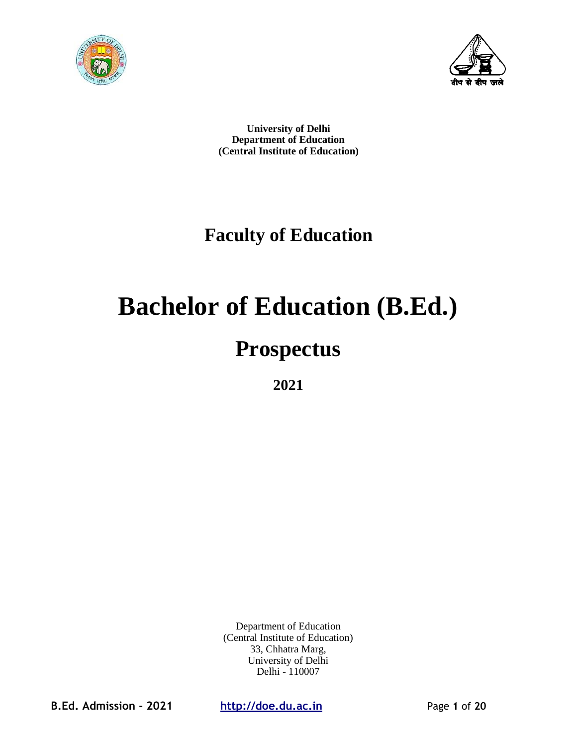



**University of Delhi Department of Education (Central Institute of Education)**

## **Faculty of Education**

# **Bachelor of Education (B.Ed.)**

## **Prospectus**

**2021**

Department of Education (Central Institute of Education) 33, Chhatra Marg, University of Delhi Delhi - 110007

**B.Ed. Admission - 2021 http://doe.du.ac.in** Page **1** of **20**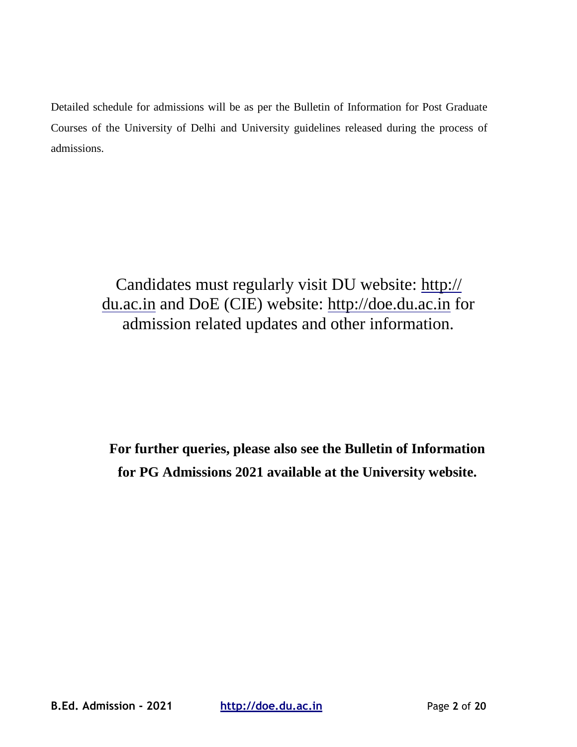Detailed schedule for admissions will be as per the Bulletin of Information for Post Graduate Courses of the University of Delhi and University guidelines released during the process of admissions.

> Candidates must regularly visit DU website: http:// du.ac.in and DoE (CIE) website: [http://doe.du.ac.in](http://doe.du.ac.in/) for admission related updates and other information.

**For further queries, please also see the Bulletin of Information for PG Admissions 2021 available at the University website.**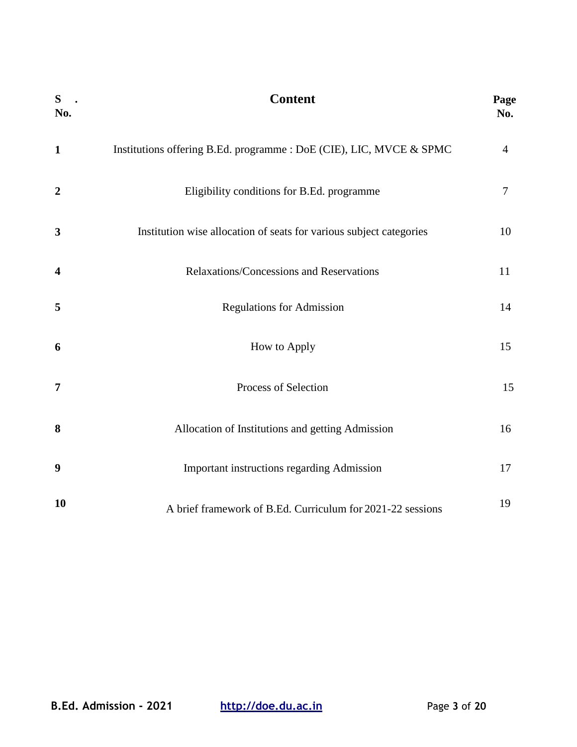| $S$ .<br>No.            | <b>Content</b>                                                      | Page<br>No.    |
|-------------------------|---------------------------------------------------------------------|----------------|
| $\mathbf{1}$            | Institutions offering B.Ed. programme : DoE (CIE), LIC, MVCE & SPMC | $\overline{4}$ |
| $\overline{2}$          | Eligibility conditions for B.Ed. programme                          | $\tau$         |
| $\mathbf{3}$            | Institution wise allocation of seats for various subject categories | 10             |
| $\overline{\mathbf{4}}$ | Relaxations/Concessions and Reservations                            | 11             |
| 5                       | <b>Regulations for Admission</b>                                    | 14             |
| 6                       | How to Apply                                                        | 15             |
| $\overline{7}$          | Process of Selection                                                | 15             |
| 8                       | Allocation of Institutions and getting Admission                    | 16             |
| $\boldsymbol{9}$        | Important instructions regarding Admission                          | 17             |
| 10                      | A brief framework of B.Ed. Curriculum for 2021-22 sessions          | 19             |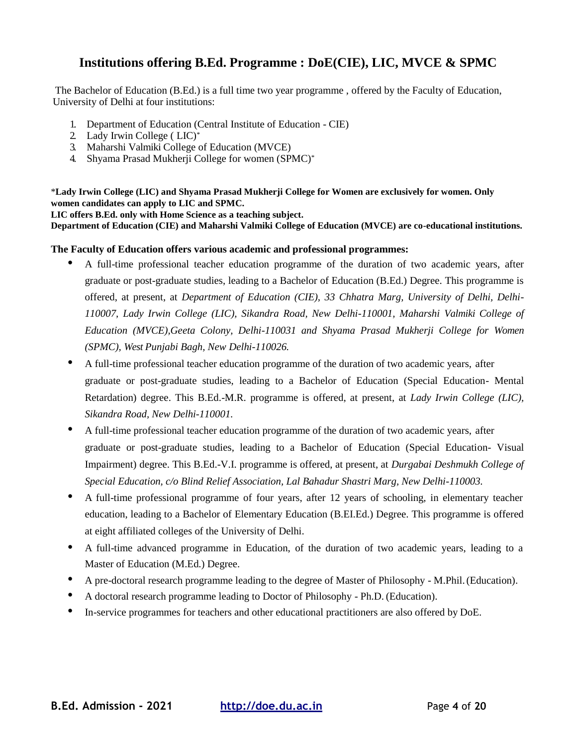## **Institutions offering B.Ed. Programme : DoE(CIE), LIC, MVCE & SPMC**

The Bachelor of Education (B.Ed.) is a full time two year programme , offered by the Faculty of Education, University of Delhi at four institutions:

- 1. Department of Education (Central Institute of Education CIE)
- 2. Lady Irwin College ( LIC)\*
- 3. Maharshi Valmiki College of Education (MVCE)
- 4. Shyama Prasad Mukherji College for women (SPMC)\*

\***Lady Irwin College (LIC) and Shyama Prasad Mukherji College for Women are exclusively for women. Only women candidates can apply to LIC and SPMC.**

**LIC offers B.Ed. only with Home Science as a teaching subject.**

**Department of Education (CIE) and Maharshi Valmiki College of Education (MVCE) are co-educational institutions.**

#### **The Faculty of Education offers various academic and professional programmes:**

- A full-time professional teacher education programme of the duration of two academic years, after graduate or post-graduate studies, leading to a Bachelor of Education (B.Ed.) Degree. This programme is offered, at present, at *Department of Education (CIE), 33 Chhatra Marg, University of Delhi, Delhi-110007, Lady Irwin College (LIC), Sikandra Road, New Delhi-110001, Maharshi Valmiki College of Education (MVCE),Geeta Colony, Delhi-110031 and Shyama Prasad Mukherji College for Women (SPMC), West Punjabi Bagh, New Delhi-110026.*
- A full-time professional teacher education programme of the duration of two academic years, after graduate or post-graduate studies, leading to a Bachelor of Education (Special Education- Mental Retardation) degree. This B.Ed.-M.R. programme is offered, at present, at *Lady Irwin College (LIC), Sikandra Road, New Delhi-110001.*
- A full-time professional teacher education programme of the duration of two academic years, after graduate or post-graduate studies, leading to a Bachelor of Education (Special Education- Visual Impairment) degree. This B.Ed.-V.I. programme is offered, at present, at *Durgabai Deshmukh College of Special Education, c/o Blind Relief Association, Lal Bahadur Shastri Marg, New Delhi-110003.*
- A full-time professional programme of four years, after 12 years of schooling, in elementary teacher education, leading to a Bachelor of Elementary Education (B.EI.Ed.) Degree. This programme is offered at eight affiliated colleges of the University of Delhi.
- A full-time advanced programme in Education, of the duration of two academic years, leading to a Master of Education (M.Ed.) Degree.
- A pre-doctoral research programme leading to the degree of Master of Philosophy M.Phil.(Education).
- A doctoral research programme leading to Doctor of Philosophy Ph.D. (Education).
- In-service programmes for teachers and other educational practitioners are also offered by DoE.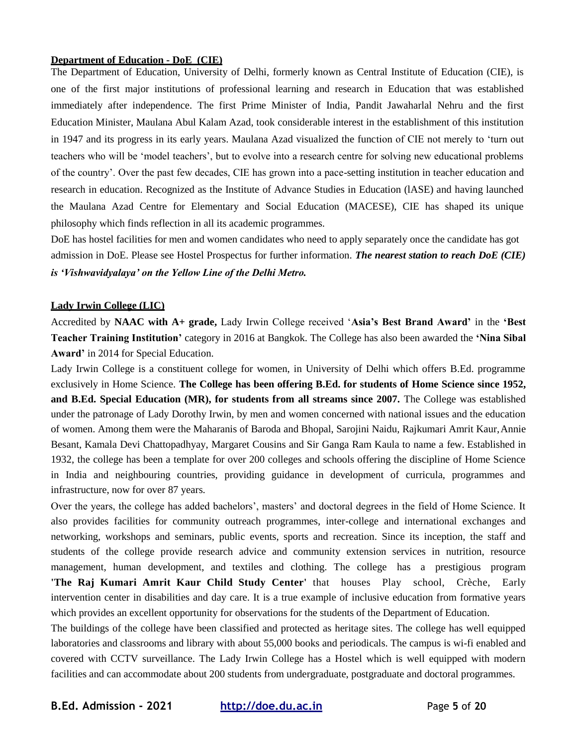#### **Department of Education - DoE (CIE)**

The Department of Education, University of Delhi, formerly known as Central Institute of Education (CIE), is one of the first major institutions of professional learning and research in Education that was established immediately after independence. The first Prime Minister of India, Pandit Jawaharlal Nehru and the first Education Minister, Maulana Abul Kalam Azad, took considerable interest in the establishment of this institution in 1947 and its progress in its early years. Maulana Azad visualized the function of CIE not merely to 'turn out teachers who will be 'model teachers', but to evolve into a research centre for solving new educational problems of the country'. Over the past few decades, CIE has grown into a pace-setting institution in teacher education and research in education. Recognized as the Institute of Advance Studies in Education (lASE) and having launched the Maulana Azad Centre for Elementary and Social Education (MACESE), CIE has shaped its unique philosophy which finds reflection in all its academic programmes.

DoE has hostel facilities for men and women candidates who need to apply separately once the candidate has got admission in DoE. Please see Hostel Prospectus for further information. *The nearest station to reach DoE (CIE) is 'Vishwavidyalaya' on the Yellow Line of the Delhi Metro.*

#### **Lady Irwin College (LIC)**

Accredited by **NAAC with A+ grade,** Lady Irwin College received '**Asia's Best Brand Award'** in the **'Best Teacher Training Institution'** category in 2016 at Bangkok. The College has also been awarded the **'Nina Sibal Award'** in 2014 for Special Education.

Lady Irwin College is a constituent college for women, in University of Delhi which offers B.Ed. programme exclusively in Home Science. **The College has been offering B.Ed. for students of Home Science since 1952, and B.Ed. Special Education (MR), for students from all streams since 2007.** The College was established under the patronage of Lady Dorothy Irwin, by men and women concerned with national issues and the education of women. Among them were the Maharanis of Baroda and Bhopal, Sarojini Naidu, Rajkumari Amrit Kaur,Annie Besant, Kamala Devi Chattopadhyay, Margaret Cousins and Sir Ganga Ram Kaula to name a few. Established in 1932, the college has been a template for over 200 colleges and schools offering the discipline of Home Science in India and neighbouring countries, providing guidance in development of curricula, programmes and infrastructure, now for over 87 years.

Over the years, the college has added bachelors', masters' and doctoral degrees in the field of Home Science. It also provides facilities for community outreach programmes, inter-college and international exchanges and networking, workshops and seminars, public events, sports and recreation. Since its inception, the staff and students of the college provide research advice and community extension services in nutrition, resource management, human development, and textiles and clothing. The college has a prestigious program **'The Raj Kumari Amrit Kaur Child Study Center'** that houses Play school, Crèche, Early intervention center in disabilities and day care. It is a true example of inclusive education from formative years which provides an excellent opportunity for observations for the students of the Department of Education.

The buildings of the college have been classified and protected as heritage sites. The college has well equipped laboratories and classrooms and library with about 55,000 books and periodicals. The campus is wi-fi enabled and covered with CCTV surveillance. The Lady Irwin College has a Hostel which is well equipped with modern facilities and can accommodate about 200 students from undergraduate, postgraduate and doctoral programmes.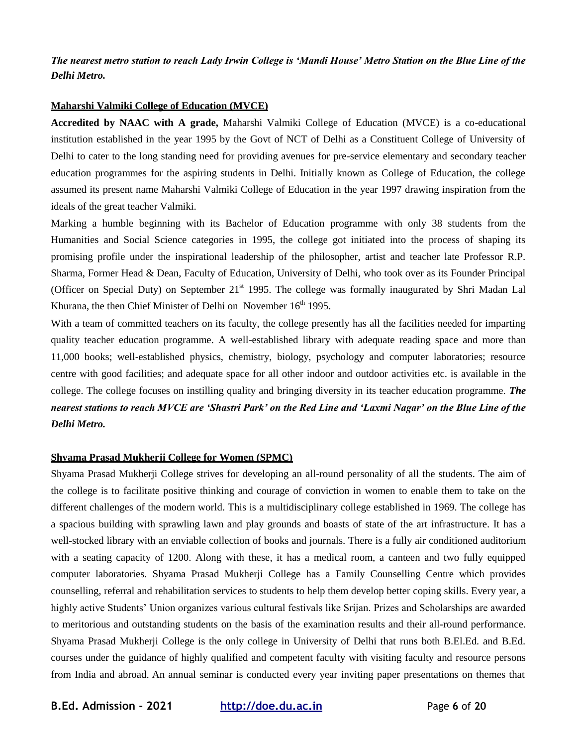*The nearest metro station to reach Lady Irwin College is 'Mandi House' Metro Station on the Blue Line of the Delhi Metro.*

#### **Maharshi Valmiki College of Education (MVCE)**

**Accredited by NAAC with A grade,** Maharshi Valmiki College of Education (MVCE) is a co-educational institution established in the year 1995 by the Govt of NCT of Delhi as a Constituent College of University of Delhi to cater to the long standing need for providing avenues for pre-service elementary and secondary teacher education programmes for the aspiring students in Delhi. Initially known as College of Education, the college assumed its present name Maharshi Valmiki College of Education in the year 1997 drawing inspiration from the ideals of the great teacher Valmiki.

Marking a humble beginning with its Bachelor of Education programme with only 38 students from the Humanities and Social Science categories in 1995, the college got initiated into the process of shaping its promising profile under the inspirational leadership of the philosopher, artist and teacher late Professor R.P. Sharma, Former Head & Dean, Faculty of Education, University of Delhi, who took over as its Founder Principal (Officer on Special Duty) on September 21<sup>st</sup> 1995. The college was formally inaugurated by Shri Madan Lal Khurana, the then Chief Minister of Delhi on November  $16<sup>th</sup>$  1995.

With a team of committed teachers on its faculty, the college presently has all the facilities needed for imparting quality teacher education programme. A well-established library with adequate reading space and more than 11,000 books; well-established physics, chemistry, biology, psychology and computer laboratories; resource centre with good facilities; and adequate space for all other indoor and outdoor activities etc. is available in the college. The college focuses on instilling quality and bringing diversity in its teacher education programme. *The nearest stations to reach MVCE are 'Shastri Park' on the Red Line and 'Laxmi Nagar' on the Blue Line of the Delhi Metro.*

#### **Shyama Prasad Mukherji College for Women (SPMC)**

Shyama Prasad Mukherji College strives for developing an all-round personality of all the students. The aim of the college is to facilitate positive thinking and courage of conviction in women to enable them to take on the different challenges of the modern world. This is a multidisciplinary college established in 1969. The college has a spacious building with sprawling lawn and play grounds and boasts of state of the art infrastructure. It has a well-stocked library with an enviable collection of books and journals. There is a fully air conditioned auditorium with a seating capacity of 1200. Along with these, it has a medical room, a canteen and two fully equipped computer laboratories. Shyama Prasad Mukherji College has a Family Counselling Centre which provides counselling, referral and rehabilitation services to students to help them develop better coping skills. Every year, a highly active Students' Union organizes various cultural festivals like Srijan. Prizes and Scholarships are awarded to meritorious and outstanding students on the basis of the examination results and their all-round performance. Shyama Prasad Mukherji College is the only college in University of Delhi that runs both B.El.Ed. and B.Ed. courses under the guidance of highly qualified and competent faculty with visiting faculty and resource persons from India and abroad. An annual seminar is conducted every year inviting paper presentations on themes that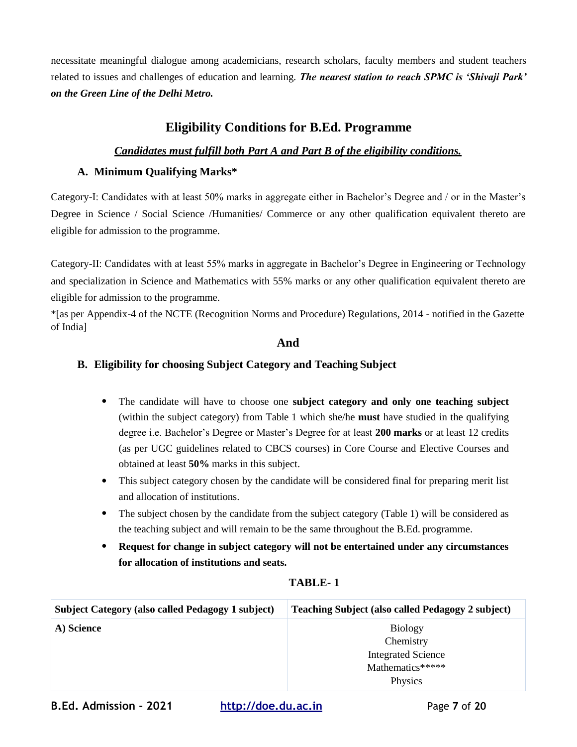necessitate meaningful dialogue among academicians, research scholars, faculty members and student teachers related to issues and challenges of education and learning. *The nearest station to reach SPMC is 'Shivaji Park' on the Green Line of the Delhi Metro.*

## **Eligibility Conditions for B.Ed. Programme**

#### *Candidates must fulfill both Part A and Part B of the eligibility conditions.*

#### **A. Minimum Qualifying Marks\***

Category-I: Candidates with at least 50% marks in aggregate either in Bachelor's Degree and / or in the Master's Degree in Science / Social Science /Humanities/ Commerce or any other qualification equivalent thereto are eligible for admission to the programme.

Category-II: Candidates with at least 55% marks in aggregate in Bachelor's Degree in Engineering or Technology and specialization in Science and Mathematics with 55% marks or any other qualification equivalent thereto are eligible for admission to the programme.

\*[as per Appendix-4 of the NCTE (Recognition Norms and Procedure) Regulations, 2014 - notified in the Gazette of India]

#### **And**

#### **B. Eligibility for choosing Subject Category and Teaching Subject**

- The candidate will have to choose one **subject category and only one teaching subject**  (within the subject category) from Table 1 which she/he **must** have studied in the qualifying degree i.e. Bachelor's Degree or Master's Degree for at least **200 marks** or at least 12 credits (as per UGC guidelines related to CBCS courses) in Core Course and Elective Courses and obtained at least **50%** marks in this subject.
- This subject category chosen by the candidate will be considered final for preparing merit list and allocation of institutions.
- The subject chosen by the candidate from the subject category (Table 1) will be considered as the teaching subject and will remain to be the same throughout the B.Ed. programme.
- **Request for change in subject category will not be entertained under any circumstances for allocation of institutions and seats.**

| <b>Subject Category (also called Pedagogy 1 subject)</b> | <b>Teaching Subject (also called Pedagogy 2 subject)</b> |
|----------------------------------------------------------|----------------------------------------------------------|
| A) Science                                               | <b>Biology</b>                                           |
|                                                          | Chemistry                                                |
|                                                          | <b>Integrated Science</b>                                |
|                                                          | Mathematics*****                                         |
|                                                          | Physics                                                  |

#### **TABLE- 1**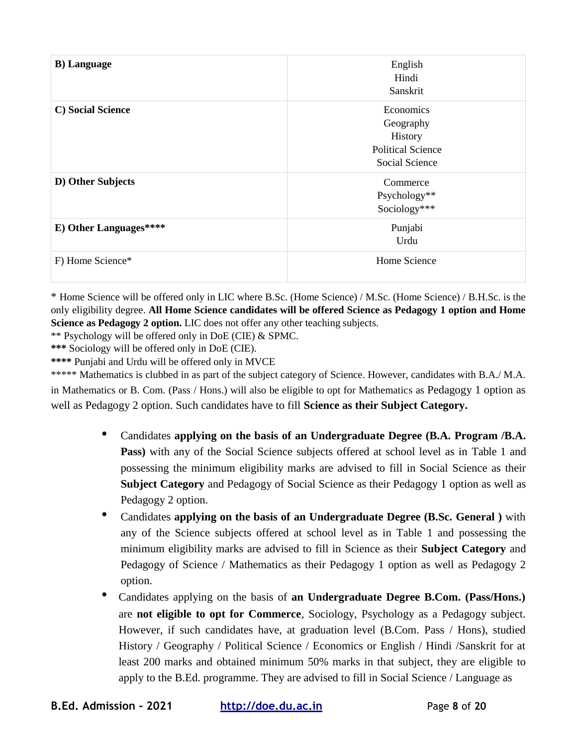| <b>B</b> ) Language    | English<br>Hindi<br>Sanskrit                                                    |
|------------------------|---------------------------------------------------------------------------------|
| C) Social Science      | Economics<br>Geography<br>History<br><b>Political Science</b><br>Social Science |
| D) Other Subjects      | Commerce<br>Psychology**<br>Sociology***                                        |
| E) Other Languages**** | Punjabi<br>Urdu                                                                 |
| F) Home Science*       | Home Science                                                                    |

\* Home Science will be offered only in LIC where B.Sc. (Home Science) / M.Sc. (Home Science) / B.H.Sc. is the only eligibility degree. **All Home Science candidates will be offered Science as Pedagogy 1 option and Home Science as Pedagogy 2 option.** LIC does not offer any other teaching subjects.

\*\* Psychology will be offered only in DoE (CIE) & SPMC.

**\*\*\*** Sociology will be offered only in DoE (CIE).

**\*\*\*\*** Punjabi and Urdu will be offered only in MVCE

\*\*\*\*\* Mathematics is clubbed in as part of the subject category of Science. However, candidates with B.A./ M.A. in Mathematics or B. Com. (Pass / Hons.) will also be eligible to opt for Mathematics as Pedagogy 1 option as well as Pedagogy 2 option. Such candidates have to fill **Science as their Subject Category.**

- Candidates **applying on the basis of an Undergraduate Degree (B.A. Program /B.A. Pass)** with any of the Social Science subjects offered at school level as in Table 1 and possessing the minimum eligibility marks are advised to fill in Social Science as their **Subject Category** and Pedagogy of Social Science as their Pedagogy 1 option as well as Pedagogy 2 option.
- Candidates **applying on the basis of an Undergraduate Degree (B.Sc. General )** with any of the Science subjects offered at school level as in Table 1 and possessing the minimum eligibility marks are advised to fill in Science as their **Subject Category** and Pedagogy of Science / Mathematics as their Pedagogy 1 option as well as Pedagogy 2 option.
- Candidates applying on the basis of **an Undergraduate Degree B.Com. (Pass/Hons.)** are **not eligible to opt for Commerce**, Sociology, Psychology as a Pedagogy subject. However, if such candidates have, at graduation level (B.Com. Pass / Hons), studied History / Geography / Political Science / Economics or English / Hindi /Sanskrit for at least 200 marks and obtained minimum 50% marks in that subject, they are eligible to apply to the B.Ed. programme. They are advised to fill in Social Science / Language as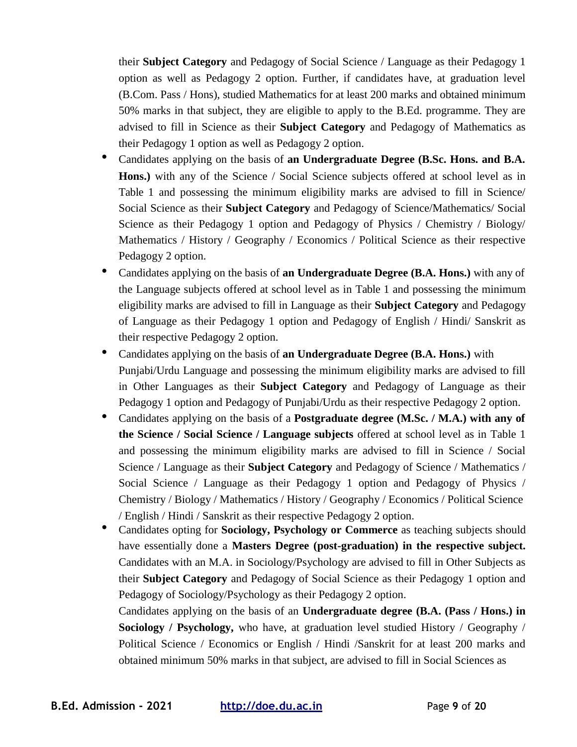their **Subject Category** and Pedagogy of Social Science / Language as their Pedagogy 1 option as well as Pedagogy 2 option. Further, if candidates have, at graduation level (B.Com. Pass / Hons), studied Mathematics for at least 200 marks and obtained minimum 50% marks in that subject, they are eligible to apply to the B.Ed. programme. They are advised to fill in Science as their **Subject Category** and Pedagogy of Mathematics as their Pedagogy 1 option as well as Pedagogy 2 option.

- Candidates applying on the basis of **an Undergraduate Degree (B.Sc. Hons. and B.A.** Hons.) with any of the Science / Social Science subjects offered at school level as in Table 1 and possessing the minimum eligibility marks are advised to fill in Science/ Social Science as their **Subject Category** and Pedagogy of Science/Mathematics/ Social Science as their Pedagogy 1 option and Pedagogy of Physics / Chemistry / Biology/ Mathematics / History / Geography / Economics / Political Science as their respective Pedagogy 2 option.
- Candidates applying on the basis of **an Undergraduate Degree (B.A. Hons.)** with any of the Language subjects offered at school level as in Table 1 and possessing the minimum eligibility marks are advised to fill in Language as their **Subject Category** and Pedagogy of Language as their Pedagogy 1 option and Pedagogy of English / Hindi/ Sanskrit as their respective Pedagogy 2 option.
- Candidates applying on the basis of **an Undergraduate Degree (B.A. Hons.)** with Punjabi/Urdu Language and possessing the minimum eligibility marks are advised to fill in Other Languages as their **Subject Category** and Pedagogy of Language as their Pedagogy 1 option and Pedagogy of Punjabi/Urdu as their respective Pedagogy 2 option.
- Candidates applying on the basis of a **Postgraduate degree (M.Sc. / M.A.) with any of the Science / Social Science / Language subjects** offered at school level as in Table 1 and possessing the minimum eligibility marks are advised to fill in Science / Social Science / Language as their **Subject Category** and Pedagogy of Science / Mathematics / Social Science / Language as their Pedagogy 1 option and Pedagogy of Physics / Chemistry / Biology / Mathematics / History / Geography / Economics / Political Science / English / Hindi / Sanskrit as their respective Pedagogy 2 option.
- Candidates opting for **Sociology, Psychology or Commerce** as teaching subjects should have essentially done a **Masters Degree (post-graduation) in the respective subject.**  Candidates with an M.A. in Sociology/Psychology are advised to fill in Other Subjects as their **Subject Category** and Pedagogy of Social Science as their Pedagogy 1 option and Pedagogy of Sociology/Psychology as their Pedagogy 2 option.

Candidates applying on the basis of an **Undergraduate degree (B.A. (Pass / Hons.) in Sociology / Psychology,** who have, at graduation level studied History / Geography / Political Science / Economics or English / Hindi /Sanskrit for at least 200 marks and obtained minimum 50% marks in that subject, are advised to fill in Social Sciences as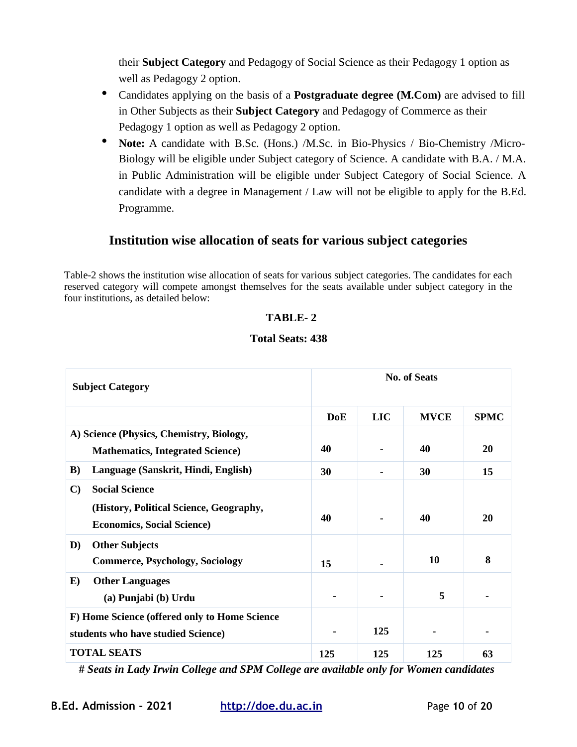their **Subject Category** and Pedagogy of Social Science as their Pedagogy 1 option as well as Pedagogy 2 option.

- Candidates applying on the basis of a **Postgraduate degree (M.Com)** are advised to fill in Other Subjects as their **Subject Category** and Pedagogy of Commerce as their Pedagogy 1 option as well as Pedagogy 2 option.
- **Note:** A candidate with B.Sc. (Hons.) /M.Sc. in Bio-Physics / Bio-Chemistry /Micro-Biology will be eligible under Subject category of Science. A candidate with B.A. / M.A. in Public Administration will be eligible under Subject Category of Social Science. A candidate with a degree in Management / Law will not be eligible to apply for the B.Ed. Programme.

## **Institution wise allocation of seats for various subject categories**

Table-2 shows the institution wise allocation of seats for various subject categories. The candidates for each reserved category will compete amongst themselves for the seats available under subject category in the four institutions, as detailed below:

#### **TABLE- 2**

#### **Total Seats: 438**

| <b>Subject Category</b>                                                             |                                                                                                       | <b>No. of Seats</b> |            |             |             |
|-------------------------------------------------------------------------------------|-------------------------------------------------------------------------------------------------------|---------------------|------------|-------------|-------------|
|                                                                                     |                                                                                                       | <b>DoE</b>          | <b>LIC</b> | <b>MVCE</b> | <b>SPMC</b> |
| A) Science (Physics, Chemistry, Biology,                                            |                                                                                                       |                     |            |             |             |
|                                                                                     | <b>Mathematics, Integrated Science)</b>                                                               | 40                  |            | 40          | <b>20</b>   |
| $\bf{B}$                                                                            | Language (Sanskrit, Hindi, English)                                                                   | 30                  |            | 30          | 15          |
| $\mathbf{C}$                                                                        | <b>Social Science</b><br>(History, Political Science, Geography,<br><b>Economics, Social Science)</b> | 40                  |            | 40          | 20          |
| D)                                                                                  | <b>Other Subjects</b><br><b>Commerce, Psychology, Sociology</b>                                       | 15                  |            | 10          | 8           |
| $\bf E)$                                                                            | <b>Other Languages</b><br>(a) Punjabi (b) Urdu                                                        |                     |            | 5           |             |
| F) Home Science (offered only to Home Science<br>students who have studied Science) |                                                                                                       |                     | 125        |             |             |
| <b>TOTAL SEATS</b>                                                                  |                                                                                                       | 125                 | 125        | 125         | 63          |

**#** *Seats in Lady Irwin College and SPM College are available only for Women candidates*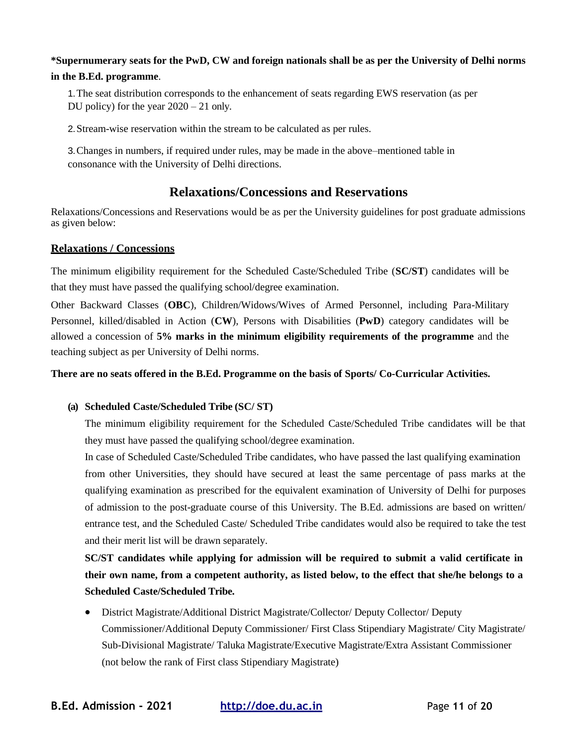## **\*Supernumerary seats for the PwD, CW and foreign nationals shall be as per the University of Delhi norms**

#### **in the B.Ed. programme**.

1.The seat distribution corresponds to the enhancement of seats regarding EWS reservation (as per DU policy) for the year 2020 – 21 only.

2.Stream-wise reservation within the stream to be calculated as per rules.

3.Changes in numbers, if required under rules, may be made in the above–mentioned table in consonance with the University of Delhi directions.

## **Relaxations/Concessions and Reservations**

Relaxations/Concessions and Reservations would be as per the University guidelines for post graduate admissions as given below:

#### **Relaxations / Concessions**

The minimum eligibility requirement for the Scheduled Caste/Scheduled Tribe (**SC/ST**) candidates will be that they must have passed the qualifying school/degree examination.

Other Backward Classes (**OBC**), Children/Widows/Wives of Armed Personnel, including Para-Military Personnel, killed/disabled in Action (**CW**), Persons with Disabilities (**PwD**) category candidates will be allowed a concession of **5% marks in the minimum eligibility requirements of the programme** and the teaching subject as per University of Delhi norms.

#### **There are no seats offered in the B.Ed. Programme on the basis of Sports/ Co-Curricular Activities.**

#### **(a) Scheduled Caste/Scheduled Tribe (SC/ ST)**

The minimum eligibility requirement for the Scheduled Caste/Scheduled Tribe candidates will be that they must have passed the qualifying school/degree examination.

In case of Scheduled Caste/Scheduled Tribe candidates, who have passed the last qualifying examination from other Universities, they should have secured at least the same percentage of pass marks at the qualifying examination as prescribed for the equivalent examination of University of Delhi for purposes of admission to the post-graduate course of this University. The B.Ed. admissions are based on written/ entrance test, and the Scheduled Caste/ Scheduled Tribe candidates would also be required to take the test and their merit list will be drawn separately.

**SC/ST candidates while applying for admission will be required to submit a valid certificate in their own name, from a competent authority, as listed below, to the effect that she/he belongs to a Scheduled Caste/Scheduled Tribe.**

 District Magistrate/Additional District Magistrate/Collector/ Deputy Collector/ Deputy Commissioner/Additional Deputy Commissioner/ First Class Stipendiary Magistrate/ City Magistrate/ Sub-Divisional Magistrate/ Taluka Magistrate/Executive Magistrate/Extra Assistant Commissioner (not below the rank of First class Stipendiary Magistrate)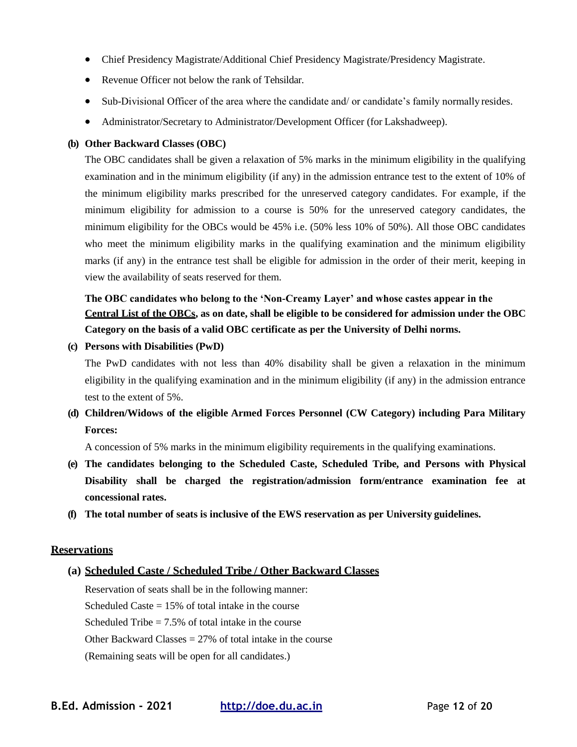- Chief Presidency Magistrate/Additional Chief Presidency Magistrate/Presidency Magistrate.
- Revenue Officer not below the rank of Tehsildar.
- Sub-Divisional Officer of the area where the candidate and/ or candidate's family normally resides.
- Administrator/Secretary to Administrator/Development Officer (for Lakshadweep).

#### **(b) Other Backward Classes (OBC)**

The OBC candidates shall be given a relaxation of 5% marks in the minimum eligibility in the qualifying examination and in the minimum eligibility (if any) in the admission entrance test to the extent of 10% of the minimum eligibility marks prescribed for the unreserved category candidates. For example, if the minimum eligibility for admission to a course is 50% for the unreserved category candidates, the minimum eligibility for the OBCs would be 45% i.e. (50% less 10% of 50%). All those OBC candidates who meet the minimum eligibility marks in the qualifying examination and the minimum eligibility marks (if any) in the entrance test shall be eligible for admission in the order of their merit, keeping in view the availability of seats reserved for them.

## **The OBC candidates who belong to the 'Non-Creamy Layer' and whose castes appear in the Central List of the OBCs, as on date, shall be eligible to be considered for admission under the OBC Category on the basis of a valid OBC certificate as per the University of Delhi norms.**

**(c) Persons with Disabilities (PwD)**

The PwD candidates with not less than 40% disability shall be given a relaxation in the minimum eligibility in the qualifying examination and in the minimum eligibility (if any) in the admission entrance test to the extent of 5%.

## **(d) Children/Widows of the eligible Armed Forces Personnel (CW Category) including Para Military Forces:**

A concession of 5% marks in the minimum eligibility requirements in the qualifying examinations.

- **(e) The candidates belonging to the Scheduled Caste, Scheduled Tribe, and Persons with Physical Disability shall be charged the registration/admission form/entrance examination fee at concessional rates.**
- **(f) The total number of seats is inclusive of the EWS reservation as per University guidelines.**

#### **Reservations**

#### **(a) Scheduled Caste / Scheduled Tribe / Other Backward Classes**

Reservation of seats shall be in the following manner: Scheduled Caste  $= 15\%$  of total intake in the course Scheduled Tribe  $= 7.5\%$  of total intake in the course Other Backward Classes  $= 27\%$  of total intake in the course (Remaining seats will be open for all candidates.)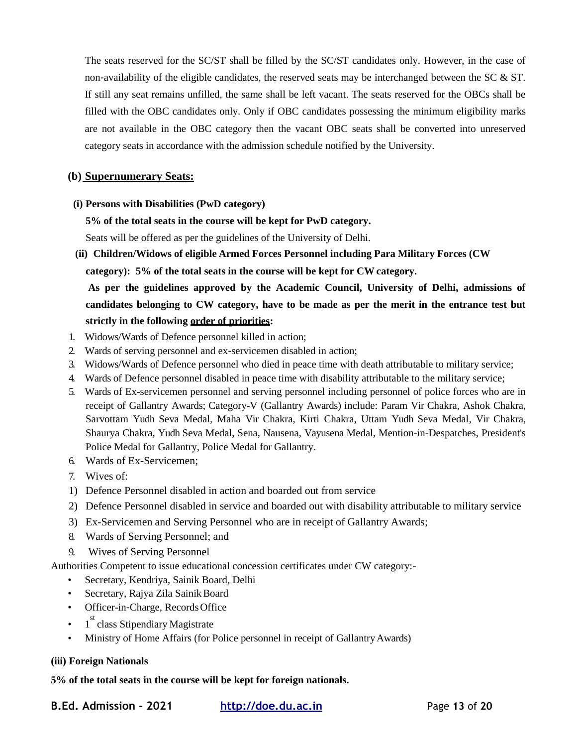The seats reserved for the SC/ST shall be filled by the SC/ST candidates only. However, in the case of non-availability of the eligible candidates, the reserved seats may be interchanged between the SC  $\&$  ST. If still any seat remains unfilled, the same shall be left vacant. The seats reserved for the OBCs shall be filled with the OBC candidates only. Only if OBC candidates possessing the minimum eligibility marks are not available in the OBC category then the vacant OBC seats shall be converted into unreserved category seats in accordance with the admission schedule notified by the University.

#### **(b) Supernumerary Seats:**

#### **(i) Persons with Disabilities (PwD category)**

#### **5% of the total seats in the course will be kept for PwD category.**

Seats will be offered as per the guidelines of the University of Delhi.

**(ii) Children/Widows of eligible Armed Forces Personnel including Para Military Forces (CW category): 5% of the total seats in the course will be kept for CW category.**

**As per the guidelines approved by the Academic Council, University of Delhi, admissions of candidates belonging to CW category, have to be made as per the merit in the entrance test but strictly in the following order of priorities:**

- 1. Widows/Wards of Defence personnel killed in action;
- 2. Wards of serving personnel and ex-servicemen disabled in action;
- 3. Widows/Wards of Defence personnel who died in peace time with death attributable to military service;
- 4. Wards of Defence personnel disabled in peace time with disability attributable to the military service;
- 5. Wards of Ex-servicemen personnel and serving personnel including personnel of police forces who are in receipt of Gallantry Awards; Category-V (Gallantry Awards) include: Param Vir Chakra, Ashok Chakra, Sarvottam Yudh Seva Medal, Maha Vir Chakra, Kirti Chakra, Uttam Yudh Seva Medal, Vir Chakra, Shaurya Chakra, Yudh Seva Medal, Sena, Nausena, Vayusena Medal, Mention-in-Despatches, President's Police Medal for Gallantry, Police Medal for Gallantry.
- 6. Wards of Ex-Servicemen;
- 7. Wives of:
- 1) Defence Personnel disabled in action and boarded out from service
- 2) Defence Personnel disabled in service and boarded out with disability attributable to military service
- 3) Ex-Servicemen and Serving Personnel who are in receipt of Gallantry Awards;
- 8. Wards of Serving Personnel; and
- 9. Wives of Serving Personnel

Authorities Competent to issue educational concession certificates under CW category:-

- Secretary, Kendriya, Sainik Board, Delhi
- Secretary, Rajya Zila Sainik Board
- Officer-in-Charge, Records Office
- $\cdot$  1<sup>st</sup> class Stipendiary Magistrate
- Ministry of Home Affairs (for Police personnel in receipt of GallantryAwards)

#### **(iii) Foreign Nationals**

#### **5% of the total seats in the course will be kept for foreign nationals.**

**B.Ed. Admission - 2021 http://doe.du.ac.in** Page **13** of **20**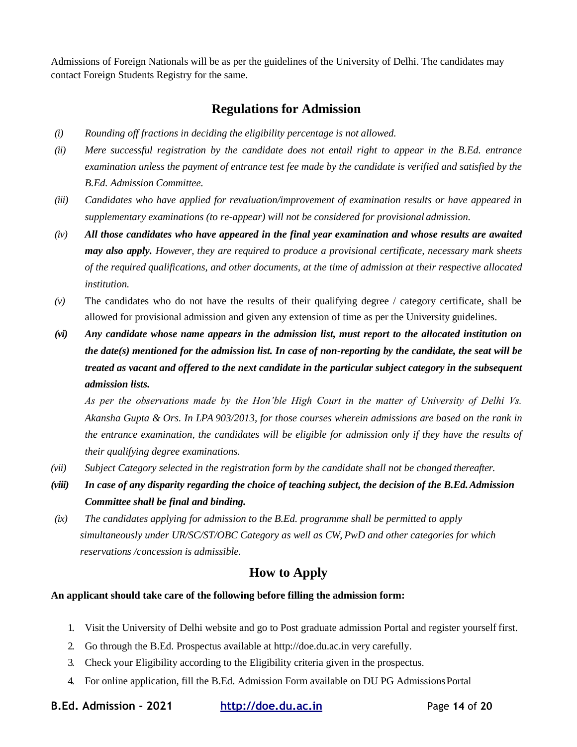Admissions of Foreign Nationals will be as per the guidelines of the University of Delhi. The candidates may contact Foreign Students Registry for the same.

### **Regulations for Admission**

- *(i) Rounding off fractions in deciding the eligibility percentage is not allowed.*
- *(ii) Mere successful registration by the candidate does not entail right to appear in the B.Ed. entrance examination unless the payment of entrance test fee made by the candidate is verified and satisfied by the B.Ed. Admission Committee.*
- *(iii) Candidates who have applied for revaluation/improvement of examination results or have appeared in supplementary examinations (to re-appear) will not be considered for provisional admission.*
- *(iv) All those candidates who have appeared in the final year examination and whose results are awaited may also apply. However, they are required to produce a provisional certificate, necessary mark sheets of the required qualifications, and other documents, at the time of admission at their respective allocated institution.*
- *(v)* The candidates who do not have the results of their qualifying degree / category certificate, shall be allowed for provisional admission and given any extension of time as per the University guidelines.
- *(vi) Any candidate whose name appears in the admission list, must report to the allocated institution on the date(s) mentioned for the admission list. In case of non-reporting by the candidate, the seat will be treated as vacant and offered to the next candidate in the particular subject category in the subsequent admission lists.*

*As per the observations made by the Hon'ble High Court in the matter of University of Delhi Vs. Akansha Gupta & Ors. In LPA 903/2013, for those courses wherein admissions are based on the rank in the entrance examination, the candidates will be eligible for admission only if they have the results of their qualifying degree examinations.*

- *(vii) Subject Category selected in the registration form by the candidate shall not be changed thereafter.*
- *(viii) In case of any disparity regarding the choice of teaching subject, the decision of the B.Ed.Admission Committee shall be final and binding.*
- *(ix) The candidates applying for admission to the B.Ed. programme shall be permitted to apply simultaneously under UR/SC/ST/OBC Category as well as CW, PwD and other categories for which reservations /concession is admissible.*

#### **How to Apply**

#### **An applicant should take care of the following before filling the admission form:**

- 1. Visit the University of Delhi website and go to Post graduate admission Portal and register yourself first.
- 2. Go through the B.Ed. Prospectus available [at http://doe.du.ac.in](http://doe.du.ac.in/) very carefully.
- 3. Check your Eligibility according to the Eligibility criteria given in the prospectus.
- 4. For online application, fill the B.Ed. Admission Form available on DU PG AdmissionsPortal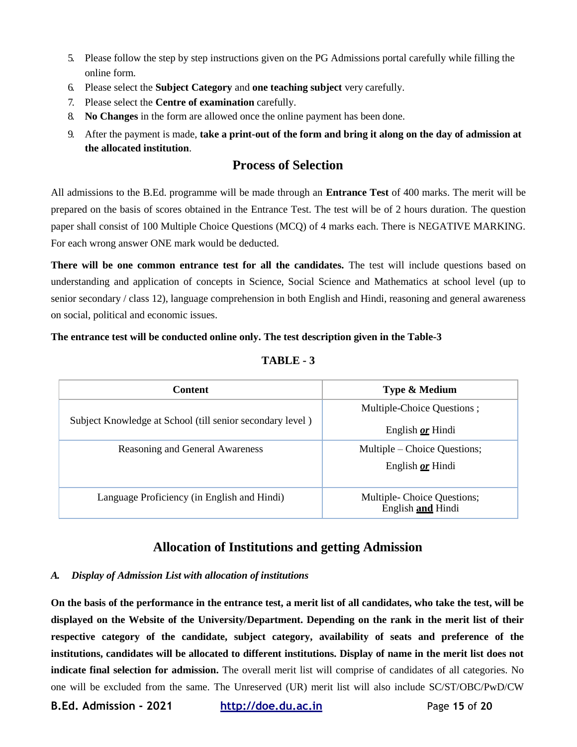- 5. Please follow the step by step instructions given on the PG Admissions portal carefully while filling the online form.
- 6. Please select the **Subject Category** and **one teaching subject** very carefully.
- 7. Please select the **Centre of examination** carefully.
- 8. **No Changes** in the form are allowed once the online payment has been done.
- 9. After the payment is made, **take a print-out of the form and bring it along on the day of admission at the allocated institution**.

## **Process of Selection**

All admissions to the B.Ed. programme will be made through an **Entrance Test** of 400 marks. The merit will be prepared on the basis of scores obtained in the Entrance Test. The test will be of 2 hours duration. The question paper shall consist of 100 Multiple Choice Questions (MCQ) of 4 marks each. There is NEGATIVE MARKING. For each wrong answer ONE mark would be deducted.

**There will be one common entrance test for all the candidates.** The test will include questions based on understanding and application of concepts in Science, Social Science and Mathematics at school level (up to senior secondary / class 12), language comprehension in both English and Hindi, reasoning and general awareness on social, political and economic issues.

#### **The entrance test will be conducted online only. The test description given in the Table-3**

| <b>Content</b>                                            | Type & Medium                                   |
|-----------------------------------------------------------|-------------------------------------------------|
|                                                           | Multiple-Choice Questions;                      |
| Subject Knowledge at School (till senior secondary level) | English <b>or</b> Hindi                         |
| Reasoning and General Awareness                           | Multiple – Choice Questions;                    |
|                                                           | English <b>or</b> Hindi                         |
| Language Proficiency (in English and Hindi)               | Multiple-Choice Questions;<br>English and Hindi |

#### **TABLE - 3**

## **Allocation of Institutions and getting Admission**

#### *A. Display of Admission List with allocation of institutions*

**On the basis of the performance in the entrance test, a merit list of all candidates, who take the test, will be displayed on the Website of the University/Department. Depending on the rank in the merit list of their respective category of the candidate, subject category, availability of seats and preference of the institutions, candidates will be allocated to different institutions. Display of name in the merit list does not indicate final selection for admission.** The overall merit list will comprise of candidates of all categories. No one will be excluded from the same. The Unreserved (UR) merit list will also include SC/ST/OBC/PwD/CW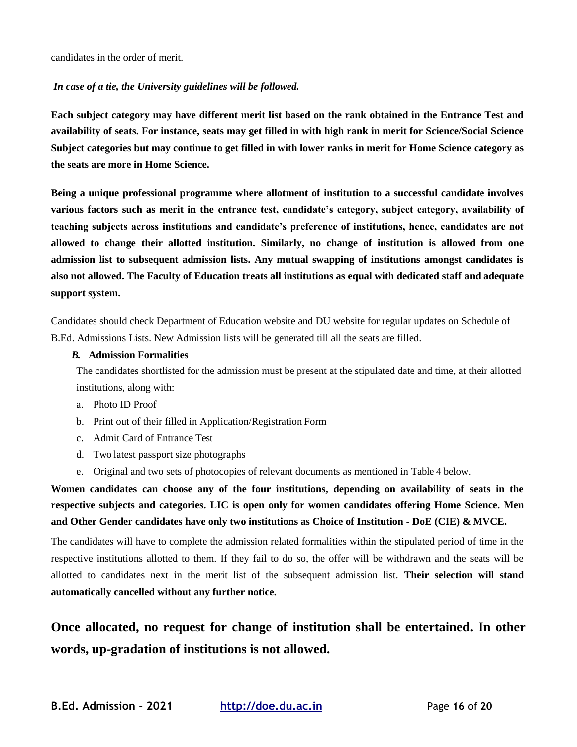candidates in the order of merit.

#### *In case of a tie, the University guidelines will be followed.*

**Each subject category may have different merit list based on the rank obtained in the Entrance Test and availability of seats. For instance, seats may get filled in with high rank in merit for Science/Social Science Subject categories but may continue to get filled in with lower ranks in merit for Home Science category as the seats are more in Home Science.**

**Being a unique professional programme where allotment of institution to a successful candidate involves various factors such as merit in the entrance test, candidate's category, subject category, availability of teaching subjects across institutions and candidate's preference of institutions, hence, candidates are not allowed to change their allotted institution. Similarly, no change of institution is allowed from one admission list to subsequent admission lists. Any mutual swapping of institutions amongst candidates is also not allowed. The Faculty of Education treats all institutions as equal with dedicated staff and adequate support system.**

Candidates should check Department of Education website and DU website for regular updates on Schedule of B.Ed. Admissions Lists. New Admission lists will be generated till all the seats are filled.

#### *B.* **Admission Formalities**

The candidates shortlisted for the admission must be present at the stipulated date and time, at their allotted institutions, along with:

- a. Photo ID Proof
- b. Print out of their filled in Application/Registration Form
- c. Admit Card of Entrance Test
- d. Two latest passport size photographs
- e. Original and two sets of photocopies of relevant documents as mentioned in Table 4 below.

**Women candidates can choose any of the four institutions, depending on availability of seats in the respective subjects and categories. LIC is open only for women candidates offering Home Science. Men and Other Gender candidates have only two institutions as Choice of Institution - DoE (CIE) & MVCE.**

The candidates will have to complete the admission related formalities within the stipulated period of time in the respective institutions allotted to them. If they fail to do so, the offer will be withdrawn and the seats will be allotted to candidates next in the merit list of the subsequent admission list. **Their selection will stand automatically cancelled without any further notice.**

## **Once allocated, no request for change of institution shall be entertained. In other words, up-gradation of institutions is not allowed.**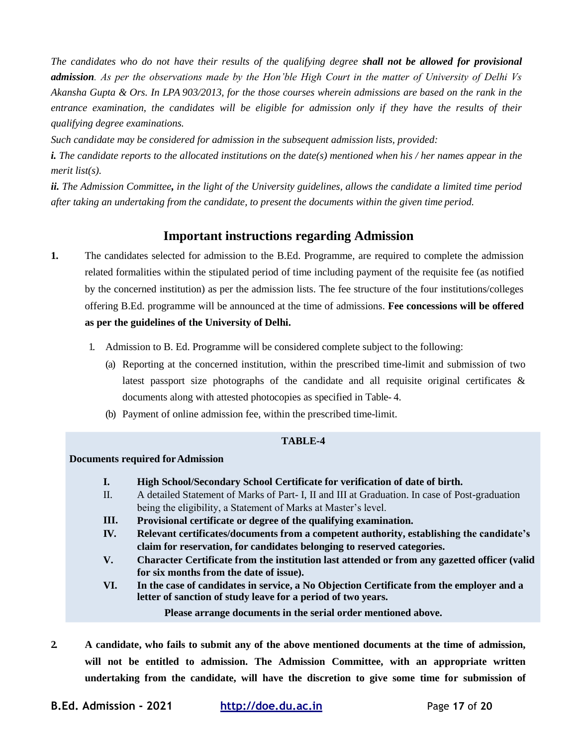*The candidates who do not have their results of the qualifying degree shall not be allowed for provisional admission. As per the observations made by the Hon'ble High Court in the matter of University of Delhi Vs Akansha Gupta & Ors. In LPA 903/2013, for the those courses wherein admissions are based on the rank in the entrance examination, the candidates will be eligible for admission only if they have the results of their qualifying degree examinations.*

*Such candidate may be considered for admission in the subsequent admission lists, provided:*

*i. The candidate reports to the allocated institutions on the date(s) mentioned when his / her names appear in the merit list(s).*

*ii. The Admission Committee, in the light of the University guidelines, allows the candidate a limited time period after taking an undertaking from the candidate, to present the documents within the given time period.*

#### **Important instructions regarding Admission**

- **1.** The candidates selected for admission to the B.Ed. Programme, are required to complete the admission related formalities within the stipulated period of time including payment of the requisite fee (as notified by the concerned institution) as per the admission lists. The fee structure of the four institutions/colleges offering B.Ed. programme will be announced at the time of admissions. **Fee concessions will be offered as per the guidelines of the University of Delhi.**
	- 1. Admission to B. Ed. Programme will be considered complete subject to the following:
		- (a) Reporting at the concerned institution, within the prescribed time-limit and submission of two latest passport size photographs of the candidate and all requisite original certificates & documents along with attested photocopies as specified in Table- 4.
		- (b) Payment of online admission fee, within the prescribed time-limit.

#### **TABLE-4**

#### **Documents required forAdmission**

- **I. High School/Secondary School Certificate for verification of date of birth.**
- $II$ . A detailed Statement of Marks of Part- I, II and III at Graduation. In case of Post-graduation being the eligibility, a Statement of Marks at Master's level.
- **III. Provisional certificate or degree of the qualifying examination.**
- **IV. Relevant certificates/documents from a competent authority, establishing the candidate's claim for reservation, for candidates belonging to reserved categories.**
- **V. Character Certificate from the institution last attended or from any gazetted officer (valid for six months from the date of issue).**
- **VI. In the case of candidates in service, a No Objection Certificate from the employer and a letter of sanction of study leave for a period of two years.**

**Please arrange documents in the serial order mentioned above.**

**2. A candidate, who fails to submit any of the above mentioned documents at the time of admission, will not be entitled to admission. The Admission Committee, with an appropriate written undertaking from the candidate, will have the discretion to give some time for submission of**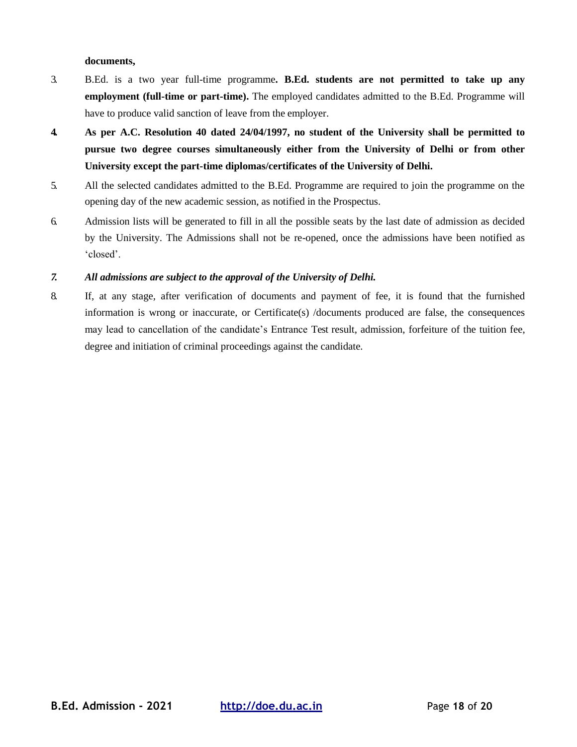#### **documents,**

- 3. B.Ed. is a two year full-time programme**. B.Ed. students are not permitted to take up any employment (full-time or part-time).** The employed candidates admitted to the B.Ed. Programme will have to produce valid sanction of leave from the employer.
- **4. As per A.C. Resolution 40 dated 24/04/1997, no student of the University shall be permitted to pursue two degree courses simultaneously either from the University of Delhi or from other University except the part-time diplomas/certificates of the University of Delhi.**
- 5. All the selected candidates admitted to the B.Ed. Programme are required to join the programme on the opening day of the new academic session, as notified in the Prospectus.
- 6. Admission lists will be generated to fill in all the possible seats by the last date of admission as decided by the University. The Admissions shall not be re-opened, once the admissions have been notified as 'closed'.

#### *7. All admissions are subject to the approval of the University of Delhi.*

8. If, at any stage, after verification of documents and payment of fee, it is found that the furnished information is wrong or inaccurate, or Certificate(s) /documents produced are false, the consequences may lead to cancellation of the candidate's Entrance Test result, admission, forfeiture of the tuition fee, degree and initiation of criminal proceedings against the candidate.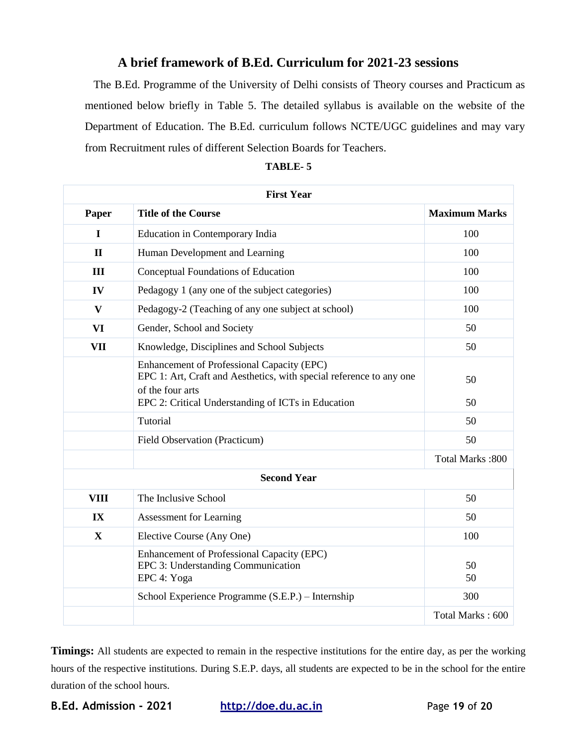## **A brief framework of B.Ed. Curriculum for 2021-23 sessions**

The B.Ed. Programme of the University of Delhi consists of Theory courses and Practicum as mentioned below briefly in Table 5. The detailed syllabus is available on the website of the Department of Education. The B.Ed. curriculum follows NCTE/UGC guidelines and may vary from Recruitment rules of different Selection Boards for Teachers.

|               | <b>First Year</b>                                                                                                                     |                      |
|---------------|---------------------------------------------------------------------------------------------------------------------------------------|----------------------|
| Paper         | <b>Title of the Course</b>                                                                                                            | <b>Maximum Marks</b> |
| $\mathbf I$   | Education in Contemporary India                                                                                                       | 100                  |
| $\mathbf{I}$  | Human Development and Learning                                                                                                        | 100                  |
| III           | Conceptual Foundations of Education                                                                                                   | 100                  |
| IV            | Pedagogy 1 (any one of the subject categories)                                                                                        | 100                  |
| $\mathbf{V}$  | Pedagogy-2 (Teaching of any one subject at school)                                                                                    | 100                  |
| VI            | Gender, School and Society                                                                                                            | 50                   |
| <b>VII</b>    | Knowledge, Disciplines and School Subjects                                                                                            | 50                   |
|               | Enhancement of Professional Capacity (EPC)<br>EPC 1: Art, Craft and Aesthetics, with special reference to any one<br>of the four arts | 50                   |
|               | EPC 2: Critical Understanding of ICTs in Education                                                                                    | 50                   |
|               | Tutorial                                                                                                                              | 50                   |
|               | Field Observation (Practicum)                                                                                                         | 50                   |
|               |                                                                                                                                       | Total Marks: 800     |
|               | <b>Second Year</b>                                                                                                                    |                      |
| <b>VIII</b>   | The Inclusive School                                                                                                                  | 50                   |
| $\mathbf{IX}$ | <b>Assessment for Learning</b>                                                                                                        | 50                   |
| X             | Elective Course (Any One)                                                                                                             | 100                  |
|               | Enhancement of Professional Capacity (EPC)<br>EPC 3: Understanding Communication<br>EPC 4: Yoga                                       | 50<br>50             |
|               | School Experience Programme (S.E.P.) – Internship                                                                                     | 300                  |
|               |                                                                                                                                       | Total Marks: 600     |

| TABLE- |  |  |
|--------|--|--|
|        |  |  |

**Timings:** All students are expected to remain in the respective institutions for the entire day, as per the working hours of the respective institutions. During S.E.P. days, all students are expected to be in the school for the entire duration of the school hours.

**B.Ed. Admission - 2021 http://doe.du.ac.in** Page **19** of **20**